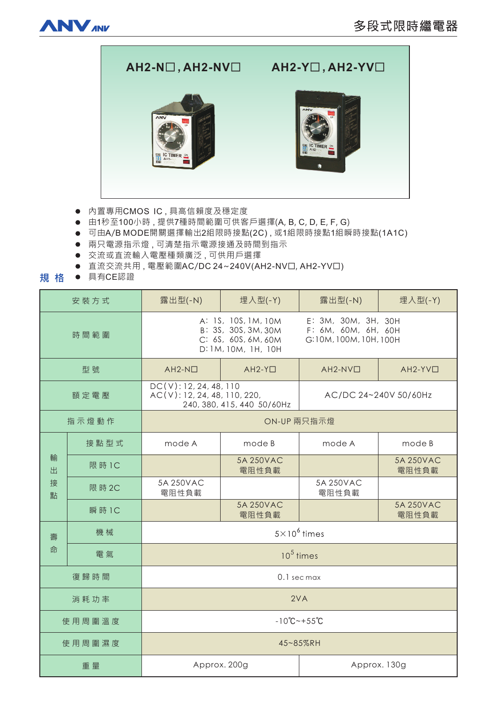



- 内置專用CMOS IC, 具高信賴度及穩定度
- 由1秒至100小時,提供7種時間範圍可供客戶選擇(A, B, C, D, E, F, G)
- 可由A/B MODE開關選擇輸出2組限時接點(2C), 或1組限時接點1組瞬時接點(1A1C)
- 兩只電源指示燈,可清楚指示電源接通及時間到指示
- 交流或直流輸入電壓種類廣泛,可供用戶選擇
- 直流交流共用, 電壓範圍AC/DC 24~240V(AH2-NV口, AH2-YV口)
- **規 格 ●** 具有CE認證

| 安装方式             |        | 露出型(-N)                                                                                                                                                          | 埋入型(-Y)            | 露出型(-N)               | 埋入型(-Y)            |
|------------------|--------|------------------------------------------------------------------------------------------------------------------------------------------------------------------|--------------------|-----------------------|--------------------|
| 時間範圍             |        | E: 3M, 30M, 3H, 30H<br>A: 1S, 10S, 1M, 10M<br>B: 3S, 30S, 3M, 30M<br>F: 6M, 60M, 6H, 60H<br>C: 6S, 60S, 6M, 60M<br>G:10M, 100M, 10H, 100H<br>D: 1M, 10M, 1H, 10H |                    |                       |                    |
| 型號               |        | $AH2-N$                                                                                                                                                          | $AH2-YD$           | $AH2-NVD$             | $AH2-YVD$          |
| 額定電壓             |        | DC(V): 12, 24, 48, 110<br>AC(V): 12, 24, 48, 110, 220,<br>240, 380, 415, 440 50/60Hz                                                                             |                    | AC/DC 24~240V 50/60Hz |                    |
| 指示燈動作            |        | ON-UP 兩只指示燈                                                                                                                                                      |                    |                       |                    |
| 輸<br>出<br>接<br>點 | 接點型式   | mode A                                                                                                                                                           | mode B             | mode A                | mode B             |
|                  | 限 時 1C |                                                                                                                                                                  | 5A 250VAC<br>電阻性負載 |                       | 5A 250VAC<br>電阻性負載 |
|                  | 限 時 2C | 5A 250VAC<br>電阻性負載                                                                                                                                               |                    | 5A 250VAC<br>電阻性負載    |                    |
|                  | 瞬 時 1C |                                                                                                                                                                  | 5A 250VAC<br>電阻性負載 |                       | 5A 250VAC<br>電阻性負載 |
| 壽<br>命           | 機械     | $5\times10^6$ times                                                                                                                                              |                    |                       |                    |
|                  | 電氣     | $105$ times                                                                                                                                                      |                    |                       |                    |
| 復歸時間             |        | 0.1 sec max                                                                                                                                                      |                    |                       |                    |
| 消耗功率             |        | 2VA                                                                                                                                                              |                    |                       |                    |
| 使用周圍溫度           |        | $-10^{\circ}C - +55^{\circ}C$                                                                                                                                    |                    |                       |                    |
| 使用周圍濕度           |        | 45~85%RH                                                                                                                                                         |                    |                       |                    |
| 重量               |        | Approx. 200g                                                                                                                                                     |                    | Approx. 130g          |                    |